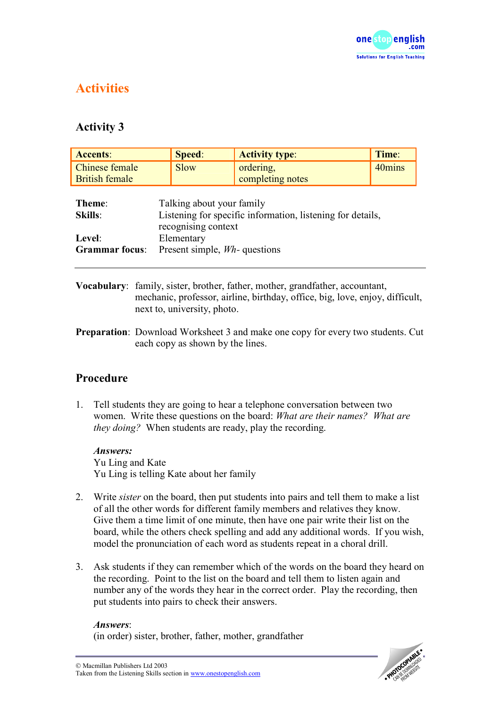

# **Activities**

# **Activity 3**

| <b>Accents:</b>       | Speed:                                                                                                         | <b>Activity type:</b> | Time:  |
|-----------------------|----------------------------------------------------------------------------------------------------------------|-----------------------|--------|
| Chinese female        | <b>Slow</b>                                                                                                    | ordering,             | 40mins |
| <b>British female</b> |                                                                                                                | completing notes      |        |
| Theme:<br>Skills:     | Talking about your family<br>Listening for specific information, listening for details,<br>recognising context |                       |        |
| Level:                | Elementary                                                                                                     |                       |        |
| <b>Grammar</b> focus: | Present simple, <i>Wh</i> -questions                                                                           |                       |        |
|                       |                                                                                                                |                       |        |

- **Vocabulary**: family, sister, brother, father, mother, grandfather, accountant, mechanic, professor, airline, birthday, office, big, love, enjoy, difficult, next to, university, photo.
- **Preparation**: Download Worksheet 3 and make one copy for every two students. Cut each copy as shown by the lines.

## **Procedure**

1. Tell students they are going to hear a telephone conversation between two women. Write these questions on the board: *What are their names? What are they doing?* When students are ready, play the recording.

*Answers:*  Yu Ling and Kate Yu Ling is telling Kate about her family

- 2. Write *sister* on the board, then put students into pairs and tell them to make a list of all the other words for different family members and relatives they know. Give them a time limit of one minute, then have one pair write their list on the board, while the others check spelling and add any additional words. If you wish, model the pronunciation of each word as students repeat in a choral drill.
- 3. Ask students if they can remember which of the words on the board they heard on the recording. Point to the list on the board and tell them to listen again and number any of the words they hear in the correct order. Play the recording, then put students into pairs to check their answers.

#### *Answers*:

(in order) sister, brother, father, mother, grandfather